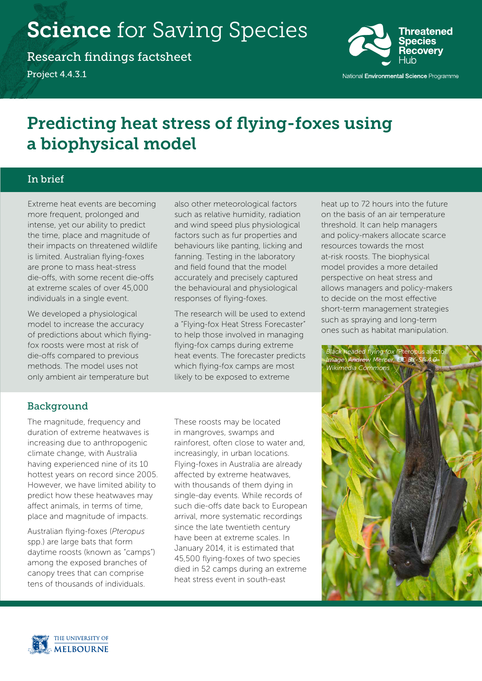# **Science** for Saving Species

Research findings factsheet Project 4.4.3.1



# Predicting heat stress of flying-foxes using a biophysical model

# In brief

Extreme heat events are becoming more frequent, prolonged and intense, yet our ability to predict the time, place and magnitude of their impacts on threatened wildlife is limited. Australian flying-foxes are prone to mass heat-stress die-offs, with some recent die-offs at extreme scales of over 45,000 individuals in a single event.

We developed a physiological model to increase the accuracy of predictions about which flyingfox roosts were most at risk of die-offs compared to previous methods. The model uses not only ambient air temperature but

also other meteorological factors such as relative humidity, radiation and wind speed plus physiological factors such as fur properties and behaviours like panting, licking and fanning. Testing in the laboratory and field found that the model accurately and precisely captured the behavioural and physiological responses of flying-foxes.

The research will be used to extend a "Flying-fox Heat Stress Forecaster" to help those involved in managing flying-fox camps during extreme heat events. The forecaster predicts which flying-fox camps are most likely to be exposed to extreme

heat up to 72 hours into the future on the basis of an air temperature threshold. It can help managers and policy-makers allocate scarce resources towards the most at-risk roosts. The biophysical model provides a more detailed perspective on heat stress and allows managers and policy-makers to decide on the most effective short-term management strategies such as spraying and long-term ones such as habitat manipulation.



# Background

The magnitude, frequency and duration of extreme heatwaves is increasing due to anthropogenic climate change, with Australia having experienced nine of its 10 hottest years on record since 2005. However, we have limited ability to predict how these heatwaves may affect animals, in terms of time, place and magnitude of impacts.

Australian flying-foxes (*Pteropus* spp.) are large bats that form daytime roosts (known as "camps") among the exposed branches of canopy trees that can comprise tens of thousands of individuals.

These roosts may be located in mangroves, swamps and rainforest, often close to water and, increasingly, in urban locations. Flying-foxes in Australia are already affected by extreme heatwaves, with thousands of them dying in single-day events. While records of such die-offs date back to European arrival, more systematic recordings since the late twentieth century have been at extreme scales. In January 2014, it is estimated that 45,500 flying-foxes of two species died in 52 camps during an extreme heat stress event in south-east

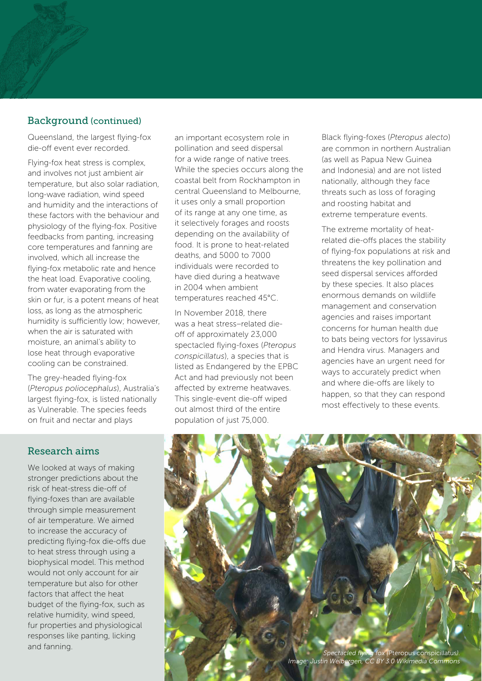# Background (continued)

Queensland, the largest flying-fox die-off event ever recorded.

Flying-fox heat stress is complex, and involves not just ambient air temperature, but also solar radiation, long-wave radiation, wind speed and humidity and the interactions of these factors with the behaviour and physiology of the flying-fox. Positive feedbacks from panting, increasing core temperatures and fanning are involved, which all increase the flying-fox metabolic rate and hence the heat load. Evaporative cooling, from water evaporating from the skin or fur, is a potent means of heat loss, as long as the atmospheric humidity is sufficiently low; however, when the air is saturated with moisture, an animal's ability to lose heat through evaporative cooling can be constrained.

The grey-headed flying-fox (*Pteropus poliocephalus*), Australia's largest flying-fox, is listed nationally as Vulnerable. The species feeds on fruit and nectar and plays

an important ecosystem role in pollination and seed dispersal for a wide range of native trees. While the species occurs along the coastal belt from Rockhampton in central Queensland to Melbourne, it uses only a small proportion of its range at any one time, as it selectively forages and roosts depending on the availability of food. It is prone to heat-related deaths, and 5000 to 7000 individuals were recorded to have died during a heatwave in 2004 when ambient temperatures reached 45°C.

In November 2018, there was a heat stress–related dieoff of approximately 23,000 spectacled flying-foxes (*Pteropus conspicillatus*), a species that is listed as Endangered by the EPBC Act and had previously not been affected by extreme heatwaves. This single-event die-off wiped out almost third of the entire population of just 75,000.

Black flying-foxes (*Pteropus alecto*) are common in northern Australian (as well as Papua New Guinea and Indonesia) and are not listed nationally, although they face threats such as loss of foraging and roosting habitat and extreme temperature events.

The extreme mortality of heatrelated die-offs places the stability of flying-fox populations at risk and threatens the key pollination and seed dispersal services afforded by these species. It also places enormous demands on wildlife management and conservation agencies and raises important concerns for human health due to bats being vectors for lyssavirus and Hendra virus. Managers and agencies have an urgent need for ways to accurately predict when and where die-offs are likely to happen, so that they can respond most effectively to these events.

#### Research aims

We looked at ways of making stronger predictions about the risk of heat-stress die-off of flying-foxes than are available through simple measurement of air temperature. We aimed to increase the accuracy of predicting flying-fox die-offs due to heat stress through using a biophysical model. This method would not only account for air temperature but also for other factors that affect the heat budget of the flying-fox, such as relative humidity, wind speed, fur properties and physiological responses like panting, licking

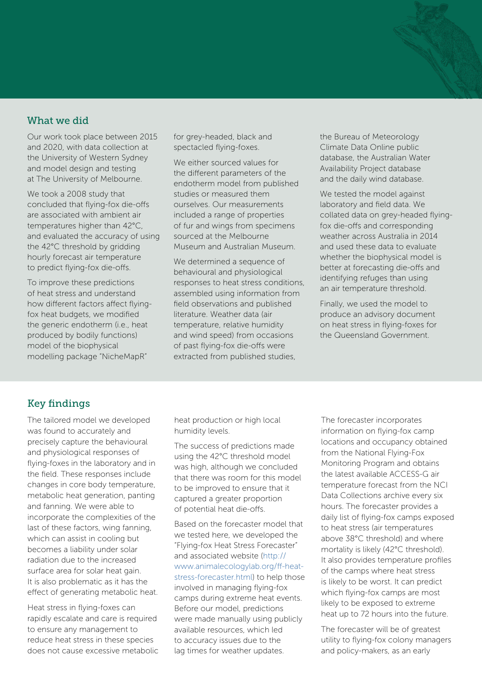#### What we did

Our work took place between 2015 and 2020, with data collection at the University of Western Sydney and model design and testing at The University of Melbourne.

We took a 2008 study that concluded that flying-fox die-offs are associated with ambient air temperatures higher than 42°C, and evaluated the accuracy of using the 42°C threshold by gridding hourly forecast air temperature to predict flying-fox die-offs.

To improve these predictions of heat stress and understand how different factors affect flyingfox heat budgets, we modified the generic endotherm (i.e., heat produced by bodily functions) model of the biophysical modelling package "NicheMapR"

for grey-headed, black and spectacled flying-foxes.

We either sourced values for the different parameters of the endotherm model from published studies or measured them ourselves. Our measurements included a range of properties of fur and wings from specimens sourced at the Melbourne Museum and Australian Museum.

We determined a sequence of behavioural and physiological responses to heat stress conditions, assembled using information from field observations and published literature. Weather data (air temperature, relative humidity and wind speed) from occasions of past flying-fox die-offs were extracted from published studies,

the Bureau of Meteorology Climate Data Online public database, the Australian Water Availability Project database and the daily wind database.

We tested the model against laboratory and field data. We collated data on grey-headed flyingfox die-offs and corresponding weather across Australia in 2014 and used these data to evaluate whether the biophysical model is better at forecasting die-offs and identifying refuges than using an air temperature threshold.

Finally, we used the model to produce an advisory document on heat stress in flying-foxes for the Queensland Government.

# Key findings

The tailored model we developed was found to accurately and precisely capture the behavioural and physiological responses of flying-foxes in the laboratory and in the field. These responses include changes in core body temperature, metabolic heat generation, panting and fanning. We were able to incorporate the complexities of the last of these factors, wing fanning, which can assist in cooling but becomes a liability under solar radiation due to the increased surface area for solar heat gain. It is also problematic as it has the effect of generating metabolic heat.

Heat stress in flying-foxes can rapidly escalate and care is required to ensure any management to reduce heat stress in these species does not cause excessive metabolic heat production or high local humidity levels.

The success of predictions made using the 42°C threshold model was high, although we concluded that there was room for this model to be improved to ensure that it captured a greater proportion of potential heat die-offs.

Based on the forecaster model that we tested here, we developed the "Flying-fox Heat Stress Forecaster" and associated website [\(http://](http://www.animalecologylab.org/ff-heat-stress-forecaster.html) [www.animalecologylab.org/ff-heat](http://www.animalecologylab.org/ff-heat-stress-forecaster.html)[stress-forecaster.html\)](http://www.animalecologylab.org/ff-heat-stress-forecaster.html) to help those involved in managing flying-fox camps during extreme heat events. Before our model, predictions were made manually using publicly available resources, which led to accuracy issues due to the lag times for weather updates.

The forecaster incorporates information on flying-fox camp locations and occupancy obtained from the National Flying-Fox Monitoring Program and obtains the latest available ACCESS-G air temperature forecast from the NCI Data Collections archive every six hours. The forecaster provides a daily list of flying-fox camps exposed to heat stress (air temperatures above 38°C threshold) and where mortality is likely (42°C threshold). It also provides temperature profiles of the camps where heat stress is likely to be worst. It can predict which flying-fox camps are most likely to be exposed to extreme heat up to 72 hours into the future.

The forecaster will be of greatest utility to flying-fox colony managers and policy-makers, as an early